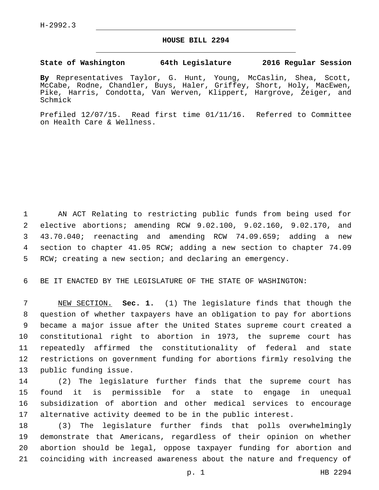## **HOUSE BILL 2294**

## **State of Washington 64th Legislature 2016 Regular Session**

**By** Representatives Taylor, G. Hunt, Young, McCaslin, Shea, Scott, McCabe, Rodne, Chandler, Buys, Haler, Griffey, Short, Holy, MacEwen, Pike, Harris, Condotta, Van Werven, Klippert, Hargrove, Zeiger, and Schmick

Prefiled 12/07/15. Read first time 01/11/16. Referred to Committee on Health Care & Wellness.

 AN ACT Relating to restricting public funds from being used for elective abortions; amending RCW 9.02.100, 9.02.160, 9.02.170, and 43.70.040; reenacting and amending RCW 74.09.659; adding a new section to chapter 41.05 RCW; adding a new section to chapter 74.09 RCW; creating a new section; and declaring an emergency.

BE IT ENACTED BY THE LEGISLATURE OF THE STATE OF WASHINGTON:

 NEW SECTION. **Sec. 1.** (1) The legislature finds that though the question of whether taxpayers have an obligation to pay for abortions became a major issue after the United States supreme court created a constitutional right to abortion in 1973, the supreme court has repeatedly affirmed the constitutionality of federal and state restrictions on government funding for abortions firmly resolving the public funding issue.

 (2) The legislature further finds that the supreme court has found it is permissible for a state to engage in unequal subsidization of abortion and other medical services to encourage alternative activity deemed to be in the public interest.

 (3) The legislature further finds that polls overwhelmingly demonstrate that Americans, regardless of their opinion on whether abortion should be legal, oppose taxpayer funding for abortion and coinciding with increased awareness about the nature and frequency of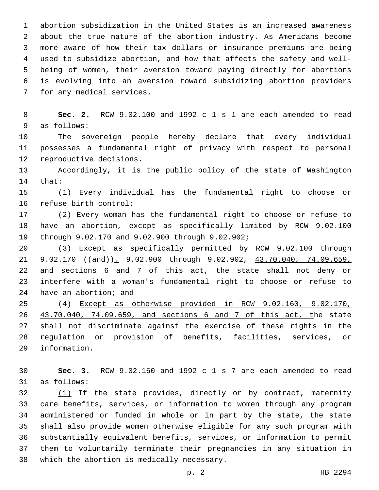abortion subsidization in the United States is an increased awareness about the true nature of the abortion industry. As Americans become more aware of how their tax dollars or insurance premiums are being used to subsidize abortion, and how that affects the safety and well- being of women, their aversion toward paying directly for abortions is evolving into an aversion toward subsidizing abortion providers 7 for any medical services.

 **Sec. 2.** RCW 9.02.100 and 1992 c 1 s 1 are each amended to read 9 as follows:

 The sovereign people hereby declare that every individual possesses a fundamental right of privacy with respect to personal 12 reproductive decisions.

 Accordingly, it is the public policy of the state of Washington 14 that:

 (1) Every individual has the fundamental right to choose or 16 refuse birth control;

 (2) Every woman has the fundamental right to choose or refuse to have an abortion, except as specifically limited by RCW 9.02.100 through 9.02.170 and 9.02.900 through 9.02.902;19

 (3) Except as specifically permitted by RCW 9.02.100 through 21 9.02.170 ((and)), 9.02.900 through 9.02.902, 43.70.040, 74.09.659, 22 and sections 6 and 7 of this act, the state shall not deny or interfere with a woman's fundamental right to choose or refuse to 24 have an abortion; and

 (4) Except as otherwise provided in RCW 9.02.160, 9.02.170, 43.70.040, 74.09.659, and sections 6 and 7 of this act, the state shall not discriminate against the exercise of these rights in the regulation or provision of benefits, facilities, services, or 29 information.

 **Sec. 3.** RCW 9.02.160 and 1992 c 1 s 7 are each amended to read 31 as follows:

32 (1) If the state provides, directly or by contract, maternity care benefits, services, or information to women through any program administered or funded in whole or in part by the state, the state shall also provide women otherwise eligible for any such program with substantially equivalent benefits, services, or information to permit 37 them to voluntarily terminate their pregnancies in any situation in 38 which the abortion is medically necessary.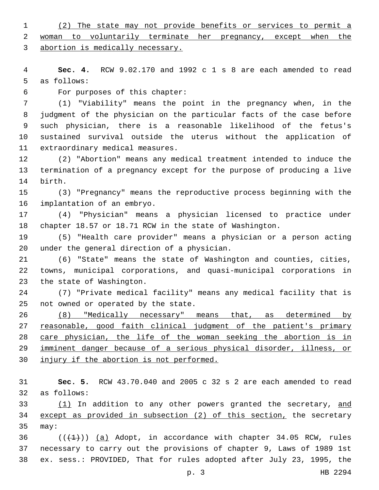(2) The state may not provide benefits or services to permit a 2 woman to voluntarily terminate her pregnancy, except when the abortion is medically necessary.

 **Sec. 4.** RCW 9.02.170 and 1992 c 1 s 8 are each amended to read 5 as follows:

For purposes of this chapter:6

 (1) "Viability" means the point in the pregnancy when, in the judgment of the physician on the particular facts of the case before such physician, there is a reasonable likelihood of the fetus's sustained survival outside the uterus without the application of 11 extraordinary medical measures.

 (2) "Abortion" means any medical treatment intended to induce the termination of a pregnancy except for the purpose of producing a live 14 birth.

 (3) "Pregnancy" means the reproductive process beginning with the 16 implantation of an embryo.

 (4) "Physician" means a physician licensed to practice under chapter 18.57 or 18.71 RCW in the state of Washington.

 (5) "Health care provider" means a physician or a person acting 20 under the general direction of a physician.

 (6) "State" means the state of Washington and counties, cities, towns, municipal corporations, and quasi-municipal corporations in 23 the state of Washington.

 (7) "Private medical facility" means any medical facility that is 25 not owned or operated by the state.

 (8) "Medically necessary" means that, as determined by 27 reasonable, good faith clinical judgment of the patient's primary care physician, the life of the woman seeking the abortion is in imminent danger because of a serious physical disorder, illness, or injury if the abortion is not performed.

 **Sec. 5.** RCW 43.70.040 and 2005 c 32 s 2 are each amended to read 32 as follows:

33 (1) In addition to any other powers granted the secretary, and except as provided in subsection (2) of this section, the secretary 35 may:

36  $((+1))$  (a) Adopt, in accordance with chapter 34.05 RCW, rules necessary to carry out the provisions of chapter 9, Laws of 1989 1st ex. sess.: PROVIDED, That for rules adopted after July 23, 1995, the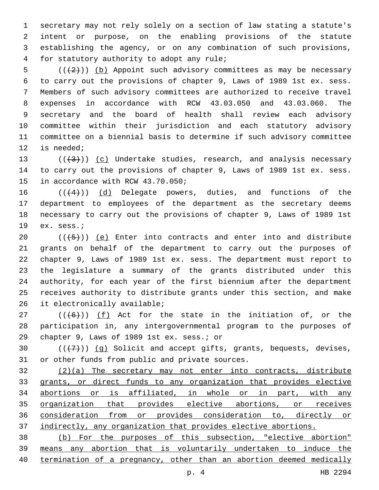secretary may not rely solely on a section of law stating a statute's intent or purpose, on the enabling provisions of the statute establishing the agency, or on any combination of such provisions, 4 for statutory authority to adopt any rule;

5 ( $(\langle 2 \rangle)$ ) (b) Appoint such advisory committees as may be necessary to carry out the provisions of chapter 9, Laws of 1989 1st ex. sess. Members of such advisory committees are authorized to receive travel expenses in accordance with RCW 43.03.050 and 43.03.060. The secretary and the board of health shall review each advisory committee within their jurisdiction and each statutory advisory committee on a biennial basis to determine if such advisory committee 12 is needed;

13  $((+3))$   $(c)$  Undertake studies, research, and analysis necessary to carry out the provisions of chapter 9, Laws of 1989 1st ex. sess. 15 in accordance with RCW 43.70.050;

 $((4+))$  (d) Delegate powers, duties, and functions of the department to employees of the department as the secretary deems necessary to carry out the provisions of chapter 9, Laws of 1989 1st 19 ex. sess.;

 $((+5+))$  (e) Enter into contracts and enter into and distribute grants on behalf of the department to carry out the purposes of chapter 9, Laws of 1989 1st ex. sess. The department must report to the legislature a summary of the grants distributed under this authority, for each year of the first biennium after the department receives authority to distribute grants under this section, and make 26 it electronically available;

27  $((+6+))$   $(f)$  Act for the state in the initiation of, or the participation in, any intergovernmental program to the purposes of 29 chapter 9, Laws of 1989 1st ex. sess.; or

30  $((+7+))$  (g) Solicit and accept gifts, grants, bequests, devises, 31 or other funds from public and private sources.

 (2)(a) The secretary may not enter into contracts, distribute grants, or direct funds to any organization that provides elective abortions or is affiliated, in whole or in part, with any organization that provides elective abortions, or receives consideration from or provides consideration to, directly or indirectly, any organization that provides elective abortions.

 (b) For the purposes of this subsection, "elective abortion" means any abortion that is voluntarily undertaken to induce the 40 termination of a pregnancy, other than an abortion deemed medically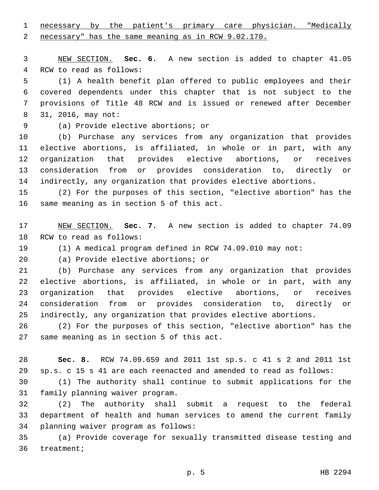necessary by the patient's primary care physician. "Medically necessary" has the same meaning as in RCW 9.02.170.

 NEW SECTION. **Sec. 6.** A new section is added to chapter 41.05 4 RCW to read as follows:

 (1) A health benefit plan offered to public employees and their covered dependents under this chapter that is not subject to the provisions of Title 48 RCW and is issued or renewed after December 8 31, 2016, may not:

(a) Provide elective abortions; or9

 (b) Purchase any services from any organization that provides elective abortions, is affiliated, in whole or in part, with any organization that provides elective abortions, or receives consideration from or provides consideration to, directly or indirectly, any organization that provides elective abortions.

 (2) For the purposes of this section, "elective abortion" has the 16 same meaning as in section 5 of this act.

 NEW SECTION. **Sec. 7.** A new section is added to chapter 74.09 18 RCW to read as follows:

(1) A medical program defined in RCW 74.09.010 may not:

20 (a) Provide elective abortions; or

 (b) Purchase any services from any organization that provides elective abortions, is affiliated, in whole or in part, with any organization that provides elective abortions, or receives consideration from or provides consideration to, directly or indirectly, any organization that provides elective abortions.

 (2) For the purposes of this section, "elective abortion" has the 27 same meaning as in section 5 of this act.

 **Sec. 8.** RCW 74.09.659 and 2011 1st sp.s. c 41 s 2 and 2011 1st sp.s. c 15 s 41 are each reenacted and amended to read as follows:

 (1) The authority shall continue to submit applications for the 31 family planning waiver program.

 (2) The authority shall submit a request to the federal department of health and human services to amend the current family 34 planning waiver program as follows:

 (a) Provide coverage for sexually transmitted disease testing and 36 treatment;